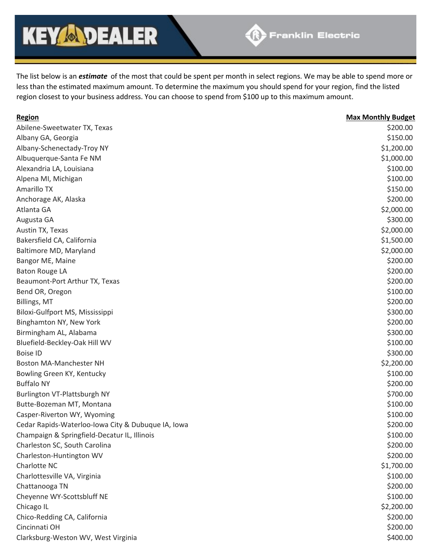## **KEY & DEALER**

The list below is an *estimate* of the most that could be spent per month in select regions. We may be able to spend more or less than the estimated maximum amount. To determine the maximum you should spend for your region, find the listed region closest to your business address. You can choose to spend from \$100 up to this maximum amount.

| Region                                             | <b>Max Monthly Budget</b> |
|----------------------------------------------------|---------------------------|
| Abilene-Sweetwater TX, Texas                       | \$200.00                  |
| Albany GA, Georgia                                 | \$150.00                  |
| Albany-Schenectady-Troy NY                         | \$1,200.00                |
| Albuquerque-Santa Fe NM                            | \$1,000.00                |
| Alexandria LA, Louisiana                           | \$100.00                  |
| Alpena MI, Michigan                                | \$100.00                  |
| Amarillo TX                                        | \$150.00                  |
| Anchorage AK, Alaska                               | \$200.00                  |
| Atlanta GA                                         | \$2,000.00                |
| Augusta GA                                         | \$300.00                  |
| Austin TX, Texas                                   | \$2,000.00                |
| Bakersfield CA, California                         | \$1,500.00                |
| Baltimore MD, Maryland                             | \$2,000.00                |
| Bangor ME, Maine                                   | \$200.00                  |
| <b>Baton Rouge LA</b>                              | \$200.00                  |
| Beaumont-Port Arthur TX, Texas                     | \$200.00                  |
| Bend OR, Oregon                                    | \$100.00                  |
| Billings, MT                                       | \$200.00                  |
| Biloxi-Gulfport MS, Mississippi                    | \$300.00                  |
| Binghamton NY, New York                            | \$200.00                  |
| Birmingham AL, Alabama                             | \$300.00                  |
| Bluefield-Beckley-Oak Hill WV                      | \$100.00                  |
| <b>Boise ID</b>                                    | \$300.00                  |
| Boston MA-Manchester NH                            | \$2,200.00                |
| Bowling Green KY, Kentucky                         | \$100.00                  |
| <b>Buffalo NY</b>                                  | \$200.00                  |
| Burlington VT-Plattsburgh NY                       | \$700.00                  |
| Butte-Bozeman MT, Montana                          | \$100.00                  |
| Casper-Riverton WY, Wyoming                        | \$100.00                  |
| Cedar Rapids-Waterloo-Iowa City & Dubuque IA, Iowa | \$200.00                  |
| Champaign & Springfield-Decatur IL, Illinois       | \$100.00                  |
| Charleston SC, South Carolina                      | \$200.00                  |
| Charleston-Huntington WV                           | \$200.00                  |
| Charlotte NC                                       | \$1,700.00                |
| Charlottesville VA, Virginia                       | \$100.00                  |
| Chattanooga TN                                     | \$200.00                  |
| Cheyenne WY-Scottsbluff NE                         | \$100.00                  |
| Chicago IL                                         | \$2,200.00                |
| Chico-Redding CA, California                       | \$200.00                  |
| Cincinnati OH                                      | \$200.00                  |
| Clarksburg-Weston WV, West Virginia                | \$400.00                  |
|                                                    |                           |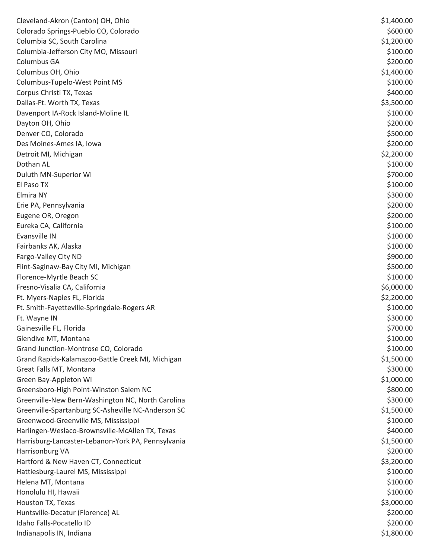| Cleveland-Akron (Canton) OH, Ohio                  | \$1,400.00 |
|----------------------------------------------------|------------|
| Colorado Springs-Pueblo CO, Colorado               | \$600.00   |
| Columbia SC, South Carolina                        | \$1,200.00 |
| Columbia-Jefferson City MO, Missouri               | \$100.00   |
| Columbus GA                                        | \$200.00   |
| Columbus OH, Ohio                                  | \$1,400.00 |
| Columbus-Tupelo-West Point MS                      | \$100.00   |
| Corpus Christi TX, Texas                           | \$400.00   |
| Dallas-Ft. Worth TX, Texas                         | \$3,500.00 |
| Davenport IA-Rock Island-Moline IL                 | \$100.00   |
| Dayton OH, Ohio                                    | \$200.00   |
| Denver CO, Colorado                                | \$500.00   |
| Des Moines-Ames IA, Iowa                           | \$200.00   |
| Detroit MI, Michigan                               | \$2,200.00 |
| Dothan AL                                          | \$100.00   |
| Duluth MN-Superior WI                              | \$700.00   |
| El Paso TX                                         | \$100.00   |
| Elmira NY                                          | \$300.00   |
| Erie PA, Pennsylvania                              | \$200.00   |
| Eugene OR, Oregon                                  | \$200.00   |
| Eureka CA, California                              | \$100.00   |
| Evansville IN                                      | \$100.00   |
| Fairbanks AK, Alaska                               | \$100.00   |
| Fargo-Valley City ND                               | \$900.00   |
| Flint-Saginaw-Bay City MI, Michigan                | \$500.00   |
| Florence-Myrtle Beach SC                           | \$100.00   |
| Fresno-Visalia CA, California                      | \$6,000.00 |
| Ft. Myers-Naples FL, Florida                       | \$2,200.00 |
| Ft. Smith-Fayetteville-Springdale-Rogers AR        | \$100.00   |
| Ft. Wayne IN                                       | \$300.00   |
| Gainesville FL, Florida                            | \$700.00   |
| Glendive MT, Montana                               | \$100.00   |
| Grand Junction-Montrose CO, Colorado               | \$100.00   |
| Grand Rapids-Kalamazoo-Battle Creek MI, Michigan   | \$1,500.00 |
| Great Falls MT, Montana                            | \$300.00   |
| Green Bay-Appleton WI                              | \$1,000.00 |
| Greensboro-High Point-Winston Salem NC             | \$800.00   |
| Greenville-New Bern-Washington NC, North Carolina  | \$300.00   |
| Greenville-Spartanburg SC-Asheville NC-Anderson SC | \$1,500.00 |
| Greenwood-Greenville MS, Mississippi               | \$100.00   |
| Harlingen-Weslaco-Brownsville-McAllen TX, Texas    | \$400.00   |
| Harrisburg-Lancaster-Lebanon-York PA, Pennsylvania | \$1,500.00 |
| Harrisonburg VA                                    | \$200.00   |
| Hartford & New Haven CT, Connecticut               | \$3,200.00 |
| Hattiesburg-Laurel MS, Mississippi                 | \$100.00   |
| Helena MT, Montana                                 | \$100.00   |
| Honolulu HI, Hawaii                                | \$100.00   |
| Houston TX, Texas                                  | \$3,000.00 |
| Huntsville-Decatur (Florence) AL                   | \$200.00   |
| Idaho Falls-Pocatello ID                           | \$200.00   |
| Indianapolis IN, Indiana                           | \$1,800.00 |
|                                                    |            |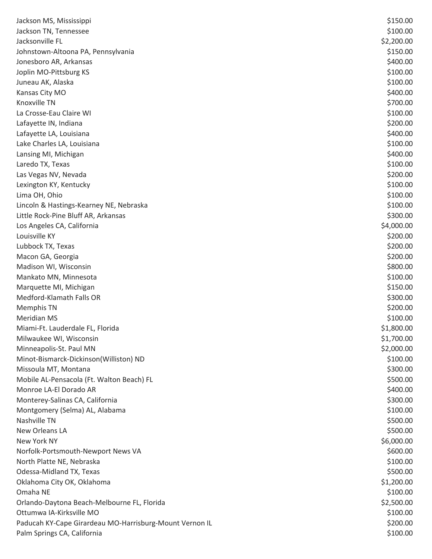| Jackson MS, Mississippi                                 | \$150.00   |
|---------------------------------------------------------|------------|
| Jackson TN, Tennessee                                   | \$100.00   |
| Jacksonville FL                                         | \$2,200.00 |
| Johnstown-Altoona PA, Pennsylvania                      | \$150.00   |
| Jonesboro AR, Arkansas                                  | \$400.00   |
| Joplin MO-Pittsburg KS                                  | \$100.00   |
| Juneau AK, Alaska                                       | \$100.00   |
| Kansas City MO                                          | \$400.00   |
| Knoxville TN                                            | \$700.00   |
| La Crosse-Eau Claire WI                                 | \$100.00   |
| Lafayette IN, Indiana                                   | \$200.00   |
| Lafayette LA, Louisiana                                 | \$400.00   |
| Lake Charles LA, Louisiana                              | \$100.00   |
| Lansing MI, Michigan                                    | \$400.00   |
| Laredo TX, Texas                                        | \$100.00   |
| Las Vegas NV, Nevada                                    | \$200.00   |
| Lexington KY, Kentucky                                  | \$100.00   |
| Lima OH, Ohio                                           | \$100.00   |
| Lincoln & Hastings-Kearney NE, Nebraska                 | \$100.00   |
| Little Rock-Pine Bluff AR, Arkansas                     | \$300.00   |
| Los Angeles CA, California                              | \$4,000.00 |
| Louisville KY                                           | \$200.00   |
| Lubbock TX, Texas                                       | \$200.00   |
| Macon GA, Georgia                                       | \$200.00   |
| Madison WI, Wisconsin                                   | \$800.00   |
| Mankato MN, Minnesota                                   | \$100.00   |
| Marquette MI, Michigan                                  | \$150.00   |
| Medford-Klamath Falls OR                                | \$300.00   |
| <b>Memphis TN</b>                                       | \$200.00   |
| <b>Meridian MS</b>                                      | \$100.00   |
| Miami-Ft. Lauderdale FL, Florida                        | \$1,800.00 |
| Milwaukee WI, Wisconsin                                 | \$1,700.00 |
| Minneapolis-St. Paul MN                                 | \$2,000.00 |
| Minot-Bismarck-Dickinson(Williston) ND                  | \$100.00   |
| Missoula MT, Montana                                    | \$300.00   |
| Mobile AL-Pensacola (Ft. Walton Beach) FL               | \$500.00   |
| Monroe LA-El Dorado AR                                  | \$400.00   |
| Monterey-Salinas CA, California                         | \$300.00   |
| Montgomery (Selma) AL, Alabama                          | \$100.00   |
| Nashville TN                                            | \$500.00   |
| New Orleans LA                                          | \$500.00   |
| New York NY                                             | \$6,000.00 |
| Norfolk-Portsmouth-Newport News VA                      | \$600.00   |
| North Platte NE, Nebraska                               | \$100.00   |
| Odessa-Midland TX, Texas                                | \$500.00   |
| Oklahoma City OK, Oklahoma                              | \$1,200.00 |
| Omaha NE                                                | \$100.00   |
| Orlando-Daytona Beach-Melbourne FL, Florida             | \$2,500.00 |
| Ottumwa IA-Kirksville MO                                | \$100.00   |
| Paducah KY-Cape Girardeau MO-Harrisburg-Mount Vernon IL | \$200.00   |
| Palm Springs CA, California                             | \$100.00   |
|                                                         |            |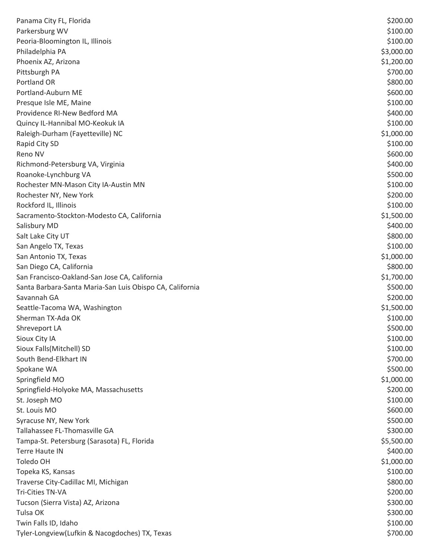| Panama City FL, Florida                                  | \$200.00   |
|----------------------------------------------------------|------------|
| Parkersburg WV                                           | \$100.00   |
| Peoria-Bloomington IL, Illinois                          | \$100.00   |
| Philadelphia PA                                          | \$3,000.00 |
| Phoenix AZ, Arizona                                      | \$1,200.00 |
| Pittsburgh PA                                            | \$700.00   |
| Portland OR                                              | \$800.00   |
| Portland-Auburn ME                                       | \$600.00   |
| Presque Isle ME, Maine                                   | \$100.00   |
| Providence RI-New Bedford MA                             | \$400.00   |
| Quincy IL-Hannibal MO-Keokuk IA                          | \$100.00   |
| Raleigh-Durham (Fayetteville) NC                         | \$1,000.00 |
| Rapid City SD                                            | \$100.00   |
| Reno NV                                                  | \$600.00   |
| Richmond-Petersburg VA, Virginia                         | \$400.00   |
| Roanoke-Lynchburg VA                                     | \$500.00   |
| Rochester MN-Mason City IA-Austin MN                     | \$100.00   |
| Rochester NY, New York                                   | \$200.00   |
| Rockford IL, Illinois                                    | \$100.00   |
| Sacramento-Stockton-Modesto CA, California               | \$1,500.00 |
| Salisbury MD                                             | \$400.00   |
| Salt Lake City UT                                        | \$800.00   |
| San Angelo TX, Texas                                     | \$100.00   |
| San Antonio TX, Texas                                    | \$1,000.00 |
| San Diego CA, California                                 | \$800.00   |
| San Francisco-Oakland-San Jose CA, California            | \$1,700.00 |
| Santa Barbara-Santa Maria-San Luis Obispo CA, California | \$500.00   |
| Savannah GA                                              | \$200.00   |
| Seattle-Tacoma WA, Washington                            | \$1,500.00 |
| Sherman TX-Ada OK                                        | \$100.00   |
| Shreveport LA                                            | \$500.00   |
| Sioux City IA                                            | \$100.00   |
| Sioux Falls(Mitchell) SD                                 | \$100.00   |
| South Bend-Elkhart IN                                    | \$700.00   |
| Spokane WA                                               | \$500.00   |
| Springfield MO                                           | \$1,000.00 |
| Springfield-Holyoke MA, Massachusetts                    | \$200.00   |
| St. Joseph MO                                            | \$100.00   |
| St. Louis MO                                             | \$600.00   |
| Syracuse NY, New York                                    | \$500.00   |
| Tallahassee FL-Thomasville GA                            | \$300.00   |
| Tampa-St. Petersburg (Sarasota) FL, Florida              | \$5,500.00 |
| <b>Terre Haute IN</b>                                    | \$400.00   |
| Toledo OH                                                | \$1,000.00 |
| Topeka KS, Kansas                                        | \$100.00   |
| Traverse City-Cadillac MI, Michigan                      | \$800.00   |
| <b>Tri-Cities TN-VA</b>                                  | \$200.00   |
| Tucson (Sierra Vista) AZ, Arizona                        | \$300.00   |
| Tulsa OK                                                 | \$300.00   |
| Twin Falls ID, Idaho                                     | \$100.00   |
| Tyler-Longview(Lufkin & Nacogdoches) TX, Texas           | \$700.00   |